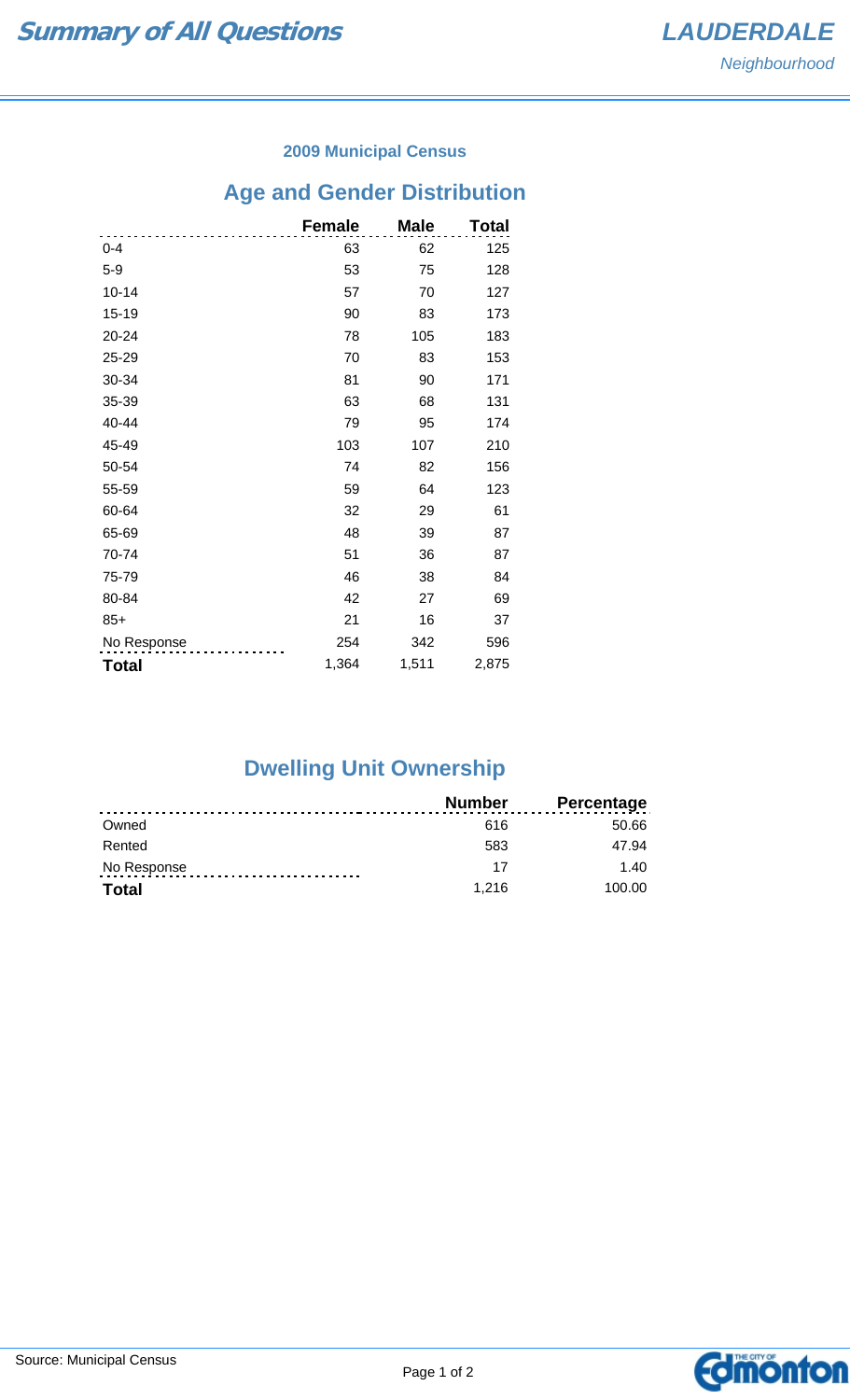#### **2009 Municipal Census**

# **Age and Gender Distribution**

|              | <b>Female</b> | <b>Male</b> | Total |
|--------------|---------------|-------------|-------|
| $0 - 4$      | 63            | 62          | 125   |
| $5-9$        | 53            | 75          | 128   |
| $10 - 14$    | 57            | 70          | 127   |
| 15-19        | 90            | 83          | 173   |
| 20-24        | 78            | 105         | 183   |
| 25-29        | 70            | 83          | 153   |
| 30-34        | 81            | 90          | 171   |
| 35-39        | 63            | 68          | 131   |
| 40-44        | 79            | 95          | 174   |
| 45-49        | 103           | 107         | 210   |
| 50-54        | 74            | 82          | 156   |
| 55-59        | 59            | 64          | 123   |
| 60-64        | 32            | 29          | 61    |
| 65-69        | 48            | 39          | 87    |
| 70-74        | 51            | 36          | 87    |
| 75-79        | 46            | 38          | 84    |
| 80-84        | 42            | 27          | 69    |
| $85+$        | 21            | 16          | 37    |
| No Response  | 254           | 342         | 596   |
| <b>Total</b> | 1,364         | 1,511       | 2,875 |

## **Dwelling Unit Ownership**

|              | Number | <b>Percentage</b> |
|--------------|--------|-------------------|
| Owned        | 616    | 50.66             |
| Rented       | 583    | 47.94             |
| No Response  | 17     | 1.40              |
| <b>Total</b> | 1.216  | 100.00            |